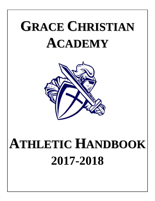# **GRACE CHRISTIAN ACADEMY**



## **ATHLETIC HANDBOOK 2017-2018**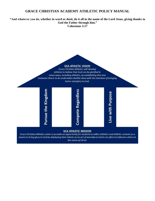## **GRACE CHRISTIAN ACADEMY ATHLETIC POLICY MANUAL**

**"And whatever you do, whether in word or deed, do it all in the name of the Lord Jesus, giving thanks to God the Father through him." Colossians 3:17**



#### **GCA ATHLETIC MISSION**

Grace Christian Athletics exists to provide an opportunity for students to utilize athletics and athletic contests as a means to bring glory to God by displaying their talents as an act of worship to God in an effort to influence others in the name of Christ.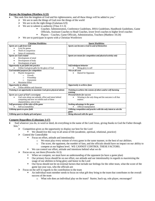#### **Pursue the Kingdom (Matthew 6:33)**

- "But seek first the kingdom of God and his righteousness, and all these things will be added to you."
	- $\triangleright$  We are to seek the things of God over the things of the world
		- $\triangleright$  We are to do the right things (Galatians 6:9)
		- $\triangleright$  We are to submit to authority (Titus 3:1-3)
			- Coaches: Administration, Conference Guidelines, IHSA Guidelines, Handbook Guidelines, Game Officials, Assistant Coaches to Head Coaches, lower level coaches to higher level coaches
			- Players Coaches, Game Officials, Administration, Teachers (Matthew 10:24)
		- $\triangleright$  We are to participate in sports with a Christian Worldview

| <b>Christian Worldview</b>                                        | <b>Sports Worldview</b>                                                  |
|-------------------------------------------------------------------|--------------------------------------------------------------------------|
| Sports are a gift from God                                        | Sports can become a God in and of themselves                             |
| Love for games                                                    |                                                                          |
| Thrill of competition                                             |                                                                          |
| Sense of community                                                |                                                                          |
| <b>Sports are God created</b>                                     | Sports are meant for competition and physical activity only              |
| Development of mind                                               |                                                                          |
| Development of body                                               |                                                                          |
| Development of spirit                                             |                                                                          |
| Opportunity to put faith into practice                            | Self-indulgent behavior                                                  |
| Utilize God-given gifts for the glory of God                      | Bring glory to self                                                      |
| God intended purposes for competition                             | Win at all costs                                                         |
| Playful Antagonism                                                | Hatred for Opponent                                                      |
| Growth<br>$\circ$                                                 |                                                                          |
| Friendship<br>$\circ$                                             |                                                                          |
| Enjoyment<br>$\circ$                                              |                                                                          |
| Maximize Effort                                                   |                                                                          |
| <b>Opportunity to witness</b>                                     | Opportunity to achieve fame                                              |
| Utilize abilities and character                                   |                                                                          |
| Training is an opportunity to maximize God-given physical talents | Training to achieve the esteem of others and/or self-harming<br>training |
| Sports are a part of God's sovereignty                            | <b>Personal desire for success</b>                                       |
| God cares about our attitude, effort and intent behind            | Winning is the only thing and the outcome is all that                    |
| competing and how we exhibit each of these                        | matters                                                                  |
| characteristics, win or lose                                      |                                                                          |
| Self-governance of the rules of the game                          | Seeking advantage in the game                                            |
| Self-accountability                                               | Official manipulation                                                    |
| Utilizing sports to grow faith                                    | Utilizing competition and practice with the only intent to win the       |
|                                                                   | game                                                                     |
| Utilizing sport to display grit and grace                         | Being obsessed with the sport                                            |

#### **Compete Regardless (Colossians 3:17)**

- $\bullet$ **"**And whatever you do, in word or deed, do everything in the name of the Lord Jesus, giving thanks to God the Father through him."
	- $\triangleright$  Competition gives us the opportunity to display our best for the Lord
		- We should live this way in all areas of life (academic, spiritual, relational, practice)
	- Control the Controllable
		- **Figure 1.5** Focus on effort, attitude and intentionality
			- o We must play every minute of every game in the same manner, to the best of our abilities.
			- o The score, the opponent, the number of fans, and the officials should have no impact on our ability to compete at our highest level. WE CANNOT CONTROL THESE FACTORS.
		- We can control our effort, attitude and intentions behind what we do
	- $\triangleright$  Focus on us, not them (Proverbs 16:3)
		- When we compete, we must have an understanding of the opponent (to have a game plan)
		- Our primary focus should be on our effort, our attitude and our intentionality in regards to maximizing the usage of our abilities to bring glory and honor to the Lord
		- Our focus should not be on external factors that include our feelings for the other team, what the score of the game last year was, who the officials are
	- $\triangleright$  Focus on the self in regards to the contribution to the team
		- An individual team member needs to focus on what gift they bring to the team that contributes to the overall success of the team
			- o What role does an individual play on the team? Starter, back-up, role player, encourager?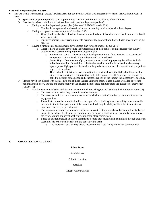#### **Live with Purpose (Ephesians 2:10)**

- "For we are his workmanship, created in Christ Jesus for good works, which God prepared beforehand, that we should walk in them."
	- $\triangleright$  Sport and Competition provide us an opportunity to worship God through the display of our abilities.
	- $\triangleright$  Coaches have been called to the position they are in because they are capable of:
		- Having a relationship development plan (Matthew 22:37-38/Proverbs 22:6)
		- o Coaches have a plan and are intentional about developing relationships with their players.
		- Having a program development plan (Colossians 3:23)
			- o Upper level coaches have developed a program for fundamentals and schemes that lower levels should work to execute
			- o This development is necessary in order to maximize the potential of all our athletes at each level in the process.
		- Having a fundamental and schematic development plan for each practice (Titus 2:7-8)
			- o Coaches have a plan for developing the fundamentals of their athletes commensurate with the level that they coach based on the program development plan
				- o Elementary Teams Aimed at player development through fundamentals. The concept of competition is introduced. Basic schemes will be introduced.
				- $\circ$  Junior High Continuation of player development aimed at preparing the athlete for high school competition. In addition to the fundamental instruction introduced in elementary sports, junior high sports will also aim to begin the development of schematic and competitive aspects of the athlete.
				- o High School Utilizing the skills taught at the previous levels, the high school level will be aimed at maximizing the potential that each athlete possesses. High school athletes will be asked to perform fundamental and schematic aspects of the sport at the highest level possible.
	- $\triangleright$  Players have been blessed with talents, gifts and abilities that are unique to them. These players are called to work to maximize their effort, attitude and intentionality in the development of these abilities under the guidance of their coach (Luke 6:40).
		- In order to accomplish this, athletes must be committed to working toward bettering their abilities (Exodus 18).
			- o This does not mean that they cannot have other interests
			- o This does mean that a commitment must be established to a limited number of particular interests at any given time
			- $\circ$  If an athlete cannot be committed to his or her sport s/he is limiting his or her ability to maximize his or her potential in that sport while at the same time hindering the ability of his or her teammates to experience success on the field/court.
			- o The same can be said of the athlete's conflicting interest. If the athlete has other commitments that are unable to be balanced with athletic commitments, he or she is limiting his or her ability to maximize the effort, attitude and intentionality given to these other commitments.
			- o Based on this rationale, if an athlete commits to a sport, they must remain committed through that sport season for his or her own benefit and the benefit of the team
				- The sport must be a priority that is second only to God, family and health commitments.

## **I. ORGANIZATIONAL CHART**

#### School Board

#### Administrator

Athletic Director

#### Coaches

#### Student Athlete/Parents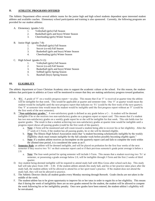## **II. ATHLETIC PROGRAMS OFFERED**

The Athletic Department offers several athletic teams for the junior high and high school students dependent upon interested student athletes and available coaches. Elementary school participation and training is also sponsored. Currently, the following programs are provided for our student athletes:

- A. Elementary (grades 5-6):
	- 1. Volleyball (girls) Fall Season
	- 2. Basketball (girls and boys) Winter Season
	- 3. Cheerleading (girls) Winter Season
- B. Junior High (grades 7-8):
	- 1. Volleyball (girls) Fall Season
	- 2. Soccer (co-ed) Fall Season
	- 3. Basketball (girls and boys) Winter Season
	- 4. Cheerleading (girls) Winter Season
- C. High School (grades 9-12):
	- 1. Volleyball (girls) Fall Season
	- 2. Soccer (co-ed) Fall Season
	- 3. Basketball (girls and boys) Winter Season
	- 4. Softball (girls) Spring Season
	- 5. Baseball (boys) Spring Season

## **III. ELIGIBILITY**

The athletic department at Grace Christian Academy aims to support the academic culture at the school. For this reason, the studentathletes that participate in athletics at Grace will be monitored to ensure that they are making satisfactory progress toward graduation.

- A. **'Fs'.** A grade of 'F' on a weekly progress report = no play. This means that if an 'F' is received at quarter time the athlete will be ineligible for that week. This would be applicable at quarter and semester time. One 'F' at quarter would mean the student would be ineligible until the next progress report that indicates no 'Fs' (could be the first week of the next quarter). One 'F' at semester time would mean the student would be ineligible until the first progress report without an 'F' (could be the first week of the next semester).
- B. **"Non-satisfactory grades."** A non-satisfactory grade is defined as any grade below a C-. A student will be deemed ineligible if he or she receives two non-satisfactory grades on a progress report or report card. This means that if a student has two non-satisfactory grades on a weekly grade report he or she will be ineligible for that week. This rule holds true for quarter grades. The result is that a student achieving two non-satisfactory grades at quarter time would be ineligible until a progress report shows all passing grades (could be the first week of the quarter).
	- a. **Note**: J-Term will be monitored and will count toward a student being able to recover his or her eligibility. After the 1<sup>st</sup> week of J-Term, if the student has all passing grades, he or she will be deemed eligible.
	- b. **Note**: The Illinois High School Association states that "a student becoming scholastically ineligible by the weekly eligibility check must remain ineligible for the full calendar week before possibly becoming eligible again."
	- c. **Note**: If a student athlete receives an Incomplete on the quarterly report card and fails to complete the work within the allotted time period, it is considered the same as an F.
- C. **Semester Rule**: an athlete will be deemed ineligible, and will be placed on probation for the first four weeks of the next semester if they receive two 'Fs' on their semester report card or if their previous semester's grade point average is below a 2.0.
	- a. **Note**: The four-week period for spring semester will include J-Term. This means that a student receiving two 'Fs' at semester, or possessing a grade average below 2.0, will be ineligible through J-Term and the first 2 weeks of third quarter.
- D. Any student being deemed ineligible will be required to attend study hall with Miss Gross after school each day. This study hall will take place from 3:00 – 3:30. If the student-athlete attends this study hall, and his or her practice takes place after the study hall, the student-athlete will be allowed to attend his or her sport team's practice. If the student does not attend the study hall, they will not be allowed to practice.
- E. The Athletic Director checks all student grades every Monday morning through Renweb. Grade checks are not taken in the middle of the week.
- F. The student-athlete has to be given opportunity to improve his or her tatus in order to regain his or her eligibility. This means that if during the week of ineligibility there are no new grades entered for the student, the student will be allowed to compete the week following his or her ineligibility penalty. Once new grades have been entered, the student-athlete's eligibility will be reevaluated.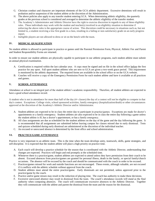- G. Christian conduct and character are important elements of the GCA athletic department. Excessive detentions will result in probation and/or suspension of the student athlete at the discretion of the Administration.
- H. The above policies also apply to any transfer student entering GCA. When determining athletic eligibility, the quarterly grades at the previous school is considered and averaged to determine the athletic eligibility of the transfer student.
- I. The Academy's Administrator and Athletic Director have the right to exercise discretion in regards to any of these eligibility rules. These individuals may work with the student and teacher(s) involved in an eligibility situation to determine if enforcing the above rules is the appropriate course of action. This discretion could be necessary in situations such as, but not limited to, a student receiving a low first grade in a class, resulting in a failing or non-satisfactory grade on an early progress report.
- J. Ineligible players are not allowed to dress or sit on the bench with the team.

## **IV. MEDICAL QUALIFICATION**

No student athlete is allowed to participate in practice or games until the Parental Permission Form, Physical, Athletic Fee and Parent and Student Responsibility Forms are returned.

In order to ensure our student athletes are physically capable to participate in our athletic programs, each student athlete must submit an annual physical examination.

- A. Certification is required within the last calendar year. A copy must be signed and on file in the school office before the first practice for any sport. Fall sport student athletes who are new to GCA are given a two-week grace period. This requirement is monitored by the athletic department. The required forms are available in the school office or on the GCA website.
- B. Coaches will receive a copy of the Emergency Permission Form for each student athlete and have it available at all practices and games.

#### **V. SCHOOL ATTENDANCE**

Attendance at school is an integral part of the student athlete's academic responsibility. Therefore, all student athletes are expected to have a good school attendance record.

A student who is not in attendance for more than half of the day (4+ classes) the day of a contest will not be eligible to compete in that day's contest. Exceptions: College visits, school sponsored activities, family emergency (hospitalization/death) or other circumstances approved at the discretion of the Academy's Athletic Director and/or Administrator.

- A. Student-athletes are expected to be in class the entire day to participate in practice/games. Exceptions are made for doctor's appointments or a family emergency. Student-athletes are also expected to be in class the entire day following a game unless the student athlete is ill, has a doctor's appointment, or has a family emergency.
- B. All class assignments are due as scheduled for the student athletes on the day of the game and the day following the game. It is recommended that all assignments are submitted before leaving campus for classes missed due to early dismissal. Tests and quizzes scheduled during early dismissal are administered at the discretion of the individual teacher.
- C. An excused or unexcused absence is determined by the front office and school administration.

#### **VI. PRACTICE/GAME ATTENDANCE**

Practice is very important to an athletic team. This is the time when the team develops unity, teamwork, skills, game strategies, and self-discipline. It is expected that the student athlete will place a high priority on practice time.

- A. Each coach will develop a practice schedule for the season that is coordinated with the Athletic Director, understanding that changes are expected. Practices will begin and end promptly at the scheduled time.
- B. Whenever there is a practice/game, student athletes are expected to attend unless they have permission from their coach to be absent. Excused absences from practice/games are granted for personal illness, death in the family, or special family/church occasions. The absence will be excused by the coach and should be communicated with the coach in order to be excused.
- C. Practices/games missed for work and outside functions are not encouraged. These events, although valuable, are not excused if it conflicts with the athletic schedule without approval from the coach.
- D. Student athletes must attend the entire practice/game. Early dismissals are not permitted, unless approved prior to the practice/game by the coach.
- E. Practice and/or game misses may result in the reduction of playing time. The coach has authority to make these decisions.
- F. Excessive unexcused absence may result in dismissal from the team. The coach's attendance records will stand as the final authority when computing absences. The coach will communicate excessive absences to the Athletic Director. Together they will communicate with the athlete and parent the dismissal from the team and the reason for the dismissal.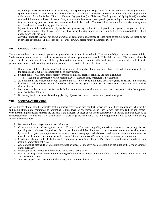- G. Required practices are held on school days only. Fall sports begin in August, two full weeks before school begins; winter sports on November 1; and spring sports begin after the varsity basketball seasons are over. Saturday practices are permitted with approval from the Athletic Director. Vacation day practices (i.e. Christmas, Thanksgiving, and Spring Break) are to be attended if the student athlete is in town. Every effort should be made to participate in games during vacation days. Absence from vacation day practices must be communicated with the coach. The coach has the authority to make playing time decisions based on vacation day practice misses.
- H. Injured student athletes who cannot physically participate are expected to attend all practices and games to support their team. Practice exceptions are for physical therapy or other medical related appointments. During all games, injured athletes will sit on the bench with the team.
- I. Any student athlete that will not attend a practice or game due to an excused absence must *personally* notify the coach as far in advance as possible. If the coach does not work at GCA, please notify the Athletic Director.

#### **VII. CONDUCT AND DRESS**

The student-athlete is in a strategic position to give others a picture of our school. That responsibility is not to be taken lightly. Student-athletes are expected to conduct themselves as ladies and gentlemen – on and off the field or court. The student-athlete is expected to be a testimony of Jesus Christ by their actions and words. Additionally, student-athletes should take pride in their personal appearance, understanding that their appearance is a reflection of Jesus Christ and GCA.

- A. If any student-athlete willfully damages the property of GCA or that of any opposing school, that student-athlete is liable for the damage and is subject to appropriate disciplinary action.
- B. Student-athletes will show proper respect for their teammates, coaches, officials, and fans at all times. a. Taunting or disrespect toward opposing players, coaches, fans, or referees is not tolerated.
- C. As a minimum, the student athlete will adhere to the GCA dress code at all home and away games as defined in the student handbook. Student athletes arriving from other athletic events (games or practice) are permitted to remain without having to change clothes.
- D. Individual coaches may set special standards for game days or special situations (such as tournaments) with the approval from the Athletic Director.
- E. No jewelry (which includes visible body piercing objects) shall be worn in any sport, practice, or games.

#### **VIII. SPORTMANSHIP CODE**

As in all areas of athletics, it is expected that our student athletes and fans conduct themselves in a Christ-like manner. Our faculty and administration are committed to promoting a high level of sportsmanship in such a way that avoids belittling others. Uncompromising respect for referees and officials is the standard. A focus to win is best tempered by an attitude of mutual respect. It is understood that watching any GCA athletic contest is a privilege and not a right. The following guidelines will be adhered to during all athletic competitions:

- A. Be reverent during prayer and the national anthem.
- B. Cheer for our team and not against anyone. Do not "boo" or make degrading remarks to anyone (i.e. opposing players, opposing fans, referees). Be positive! Do not question the abilities of a player on our own team and/or the decisions made by a coach. If you have a question about what a coach is doing, approach the coach and ask your question in a manner to provide clarification. Questioning a coach regarding starting line-ups and/or schematic decisions are not appropriate.
- C. Coaches are the only individuals that are to communicate with game officials. Parents, players and fans are to refrain from making comments to officials.
- D. Avoid anything that tends toward destructiveness or misuse of property, such as beating on the sides of the gym or banging on the bleachers.
- E. Inappropriate and disruptive noises should not be made during games.
- F. Remain off the playing floor or field, including before the contest begins, during halftimes or other breaks in the action, and after the contest is over.
- G. Abuse of any of these spectator guidelines may result in removal from the premises.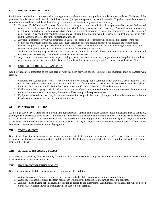## **IX. DISCIPLINARY ACTIONS**

Participation in athletics is an honor and a privilege as our student athletes are a public example to other students. Violation of the guidelines in this manual will result in disciplinary action (i.e. game suspension or team dismissal). Together, the athletic director, administration, and head coach have the authority to remove an athlete from any team when necessary.

- A. Technical Fouls/Cautions/Ejections. Any athlete receiving a conduct technical foul, unsportsmanlike caution (yellow/red card), or a verbal caution will result in a discussion with the head coach as deemed necessary. Any student athlete receiving a red card or technical in two consecutive games is immediately removed from that game/match and the following game/match. Any additional conduct fouls/cautions will result in a meeting with the coach, the student athlete, the parents, and the Athletic Director for further disciplinary actions.
- B. Any student athlete receiving two detentions in a semester (other than for tardies) will be deemed ineligible for the next contest his or her team competes. Each subsequent detention after the second detention will result in the student being deemed ineligible for the appropriate number of contests. Excessive detentions will result in a meeting with the coach, the student-athlete, the parents, and the athletic director for further disciplinary actions.
- C. An individual leaving a squad without the coach's permission or because of athletic rules violation forfeits all awards and may not participate on any other athletic team that same sport season.
- D. Any conduct on a team sanctioned trip or during a team sanctioned event that compromises the integrity of the athletic department or the school can result in dismissal from the athletic team and may result in removal from athletics at Grace.

## **X. UNIFORMS, EQUIPMENT, AND FEES**

Good stewardship is important as we take care of what has been provided for us. Therefore, all equipment must be handled with respect.

- A. Uniforms are used for games only. They are not to be worn except for a game for which they have been specified. This means that student athletes are not to wear in PE class, or for any other occasion without permission from the Athletic Director. Coaches who would like for their teams to wear uniforms to school may allow their teams to do so.
- B. Uniforms are the property of GCA and are to be returned clean at the completion of every athletic season. In the event a uniform is not returned or is damaged, the student athlete must pay the replacement cost.
- C. Equipment is issued and used only in the way intended for that particular sport. (Example: volleyballs are not soccer balls.) Coaches are responsible for the care of their equipment.

## **XI. PLAYING TIME POLICY**

At the high school level, there are no playing time requirements. Parents and student athletes should understand that at this level, playing time is determined by skill level. It is implicitly understood that attitude, commitment, and work ethic are major components to be considered as well. At the middle school level, we observe the following guidelines: *Grades 5 and 6*) equal playing time for ¾ of the contest with the final ¼ left to coach's discretion; *Grades 7 and 8*) no playing time requirements, although special efforts should be made to create opportunities for some playing time.

## **XII. TOURNAMENTS**

Grace teams have the opportunity to participate in tournaments that sometimes require an overnight stay. Student athletes are responsible for the cost of accommodations and their meals. Student athletes are expected to adhere to all school codes of conduct while on these trips.

## **XIII. ATHLETIC INSURANCE POLICY**

GCA does not assume any financial liability for injuries received while students are participating on an athletic team. Athletes should have some form of insurance as a result.

#### **XIV. INCLEMENT WEATHER POLICY**

Games are often cancelled due to inclement weather or poor field conditions.

- A. Authority to cancel games: The athletic director makes the final decision of cancellation regarding games.
- B. Authority to cancel practices: The team head coach will make the final decision regarding canceling practice.
- C. Announcement: During school hours, information is passed to the classrooms. Additionally, the cancellation will be posted on the GCA website and/or a parent alert will be sent to notify parents.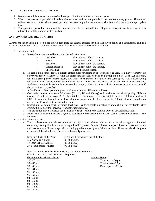#### **XV. TRANSPORTATION GUIDELINES**

- A. Best efforts will be made to provide school transportation for all student athletes to games.
- B. When transportation is provided, all student athletes must ride in school provided transportation to away games. The student athlete may return home with a parent provided the parent signs for the athlete to ride home with them on the appropriate form.
- C. Transportation plans for games will be announced to the student-athletes. If parent transportation is necessary, this information will be communicated in advance.

#### **XVI. AWARDS AND RECOGNITION**

Awards are important in a person's life and we recognize our student athletes for their God-given ability and achievement and as a means of motivation. God has promised awards for Christians who excel in areas of Christian life.

#### A. Athletic Awards

- a. Varsity letters are earned by reaching the following goals:
	- Volleyball Play at least half of the games.
	- Soccer Play at least half of the halves.
	- Basketball Play at least half of the quarters.
		- Softball/Baseball Play at least half of the innings.
	- Cheerleading Cheer the entire season.
- b. To earn a high school letter, a student athlete must participate in one sport for one year. If a player "letters" the player will receive a letter "G" with the appropriate pin (ball of the sport played) and a bar. Each year after that, when that same player "letters" again, they will receive another "bar" pin for the same sport. Any student having outstanding debts for equipment or uniforms (lost or stolen) will not receive an award until all debts are paid. Student-athletes unable to complete a season due to injury, illness or other such circumstances may earn an award if the coach feels it is justified.
- c. A Certificate of Participation is given to all elementary and JH student athletes.
- d. One student athlete from each GCA team (EL, JH, JV, and Varsity) will receive an award recognizing Christian character (The Crusader Award). To be eligible for this award, the student athlete must be a full-time student at GCA. Coaches will award up to three additional trophies at the discretion of the Athletic Director, based upon overall statistics and contribution to the team.
- e. Student athletes who play at the varsity level in at least three sports in a school year are eligible for the Triple Letter Award, if they meet the individual team letter requirements.
- f. The top senior athlete is chosen for the Dallas Washer Award by the Athletic Director and Administration.
- g. Homeschool student athletes are eligible to be a captain or co-captain during their second consecutive year as a team member.
- B. Scholar-Athlete Awards
	- a. The scholar-athlete Awards are presented to high school athletes who earn the award through a point total combining participation in athletics through the third quarter. Student-athletes must participate in at least two sports and have at least a 90% average, with no failing grades to qualify as a Scholar Athlete. These awards will be given at the end of the school year. Levels of acknowledgement are:

| Scholar Athlete of the Year           | $(1$ girl and 1 boy chosen out of the top 4) |
|---------------------------------------|----------------------------------------------|
| <b>MVP Scholar Athletes</b>           | $(90-100 \text{ points})$                    |
| 1 <sup>st</sup> Team Scholar Athletes | $(80-89 \text{ points})$                     |
| 2 <sup>nd</sup> Team Scholar Athletes | $(70-79 \text{ points})$                     |

Point System for Scholar Athlete Award, 100 points maximum: (Scholarship – 70 points; Athletics – 30 points) Grade Point Distribution Scale: Athletic Points:  $100 - 70$  pts. Two sports  $-20$  pts.  $99 - 68$  pts. Three sports  $-25$  pts. 98 – 66 pts. Four+ sports – 30 pts.  $97 - 64$  pts.  $96 - 62$  pts.

- $95 60$  pts.
- 94 58 pts.
- $93 56$  pts.
- $92 54$  pts.
- $91 52$  pts.
- $90 50$  pts.